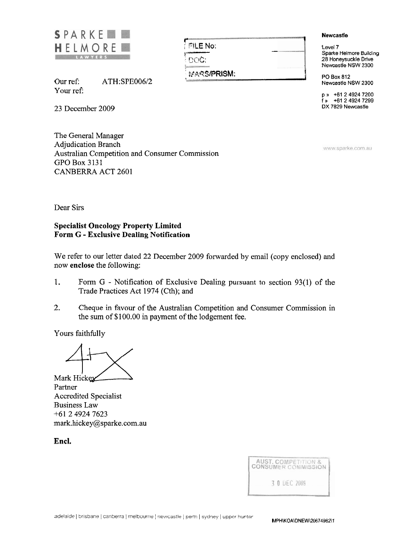

**1**  FILE No: !- . QOC: **MARS/PRISM:** PO Box 812

Our ref: ATH:SPE006/2 Your ref:

23 December 2009

The General Manager Adjudication Branch Australian Competition and Consumer Commission GPO Box 3131 CANBERRA ACT 2601

**<sup>1</sup>Newcastle t** '

rewcas<br>Level 7<br>Sparke *i* Sparke Helmore Building 28 Honeysuckle Drive Newcastle NSW 2300

Newcastle NSW 2300

p **a** +61 2 4924 7200  $\frac{1}{2}$  +61 2 4924 7299 DX 7829 Newcastle

www.sparke.com.au

Dear Sirs

## **Specialist Oncology Property Limited Form G** - **Exclusive Dealing Notification**

We refer to our letter dated 22 December 2009 forwarded by email (copy enclosed) and now **enclose** the following:

- 1. Form G Notification of Exclusive Dealing pursuant to section 93(1) of the Trade Practices Act 1974 (Cth); and
- 2. Cheque in favour of the Australian Competition and Consumer Commission in the sum of \$100.00 in payment of the lodgement fee.

Yours faithfully

2. Cheque in favour of the Austral<br>the sum of \$100.00 in payment of<br>Yours faithfully<br>Mark Hickey<br>Partner<br>Accredited Specialist

Partner Accredited Specialist Business Law +61249247623 mark.hickey@sparke.com.au

**Encl.** 

| <b>AUST. COMPETITION &amp;</b><br><b>CONSUMER COMMISSION</b> |  |              |  |  |
|--------------------------------------------------------------|--|--------------|--|--|
|                                                              |  | 3 0 DEC 2009 |  |  |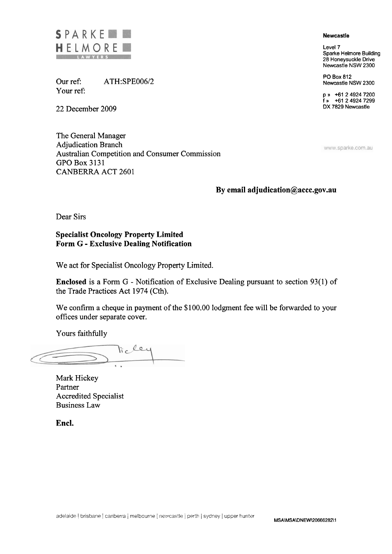

Our ref: ATH:SPE006/2 Your ref

22 December 2009

The General Manager Adjudication Branch Australian Competition and Consumer Commission GPO Box 3131 CANBERRA ACT 2601

#### **Newcastle**

**Level 7 Sparke Helmore Building 28 Honeysuckle Drive Newcastle NSW 2300** 

**PO Box 812 Newcastle NSW 2300** 

**p** )) **+61 2 4924 7200 f** )) **+61 2 4924 7299 DX 7829 Newcastle** 

www.sparke.com.au

#### **By email adjudication@accc.gov.au**

Dear Sirs

**Specialist Oncology Property Limited Form G** - **Exclusive Dealing Notification** 

We act for Specialist Oncology Property Limited.

**Enclosed** is a Form G - Notification of Exclusive Dealing pursuant to section 93(1) of the Trade Practices Act 1974 (Cth).

We confirm a cheque in payment of the \$100.00 lodgment fee will be forwarded to your offices under separate cover.

Yours faithfully

licles

Mark Hickey Partner Accredited Specialist Business Law

**Encl.**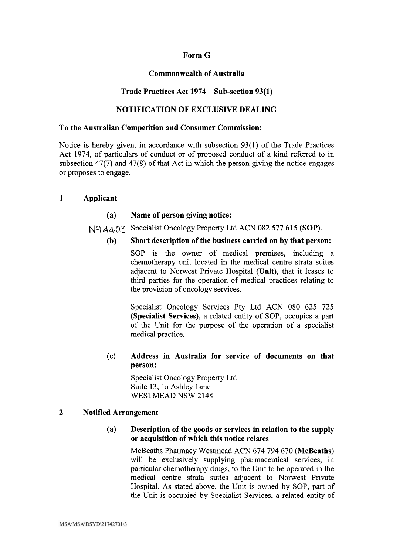# Form G

## Commonwealth of Australia

# Trade Practices Act **1974** - Sub-section **93(1)**

# NOTIFICATION OF EXCLUSIVE DEALING

#### To the Australian Competition and Consumer Commission:

Notice is hereby given, in accordance with subsection 93(1) of the Trade Practices Act 1974, of particulars of conduct or of proposed conduct of a kind referred to in subsection 47(7) and 47(8) of that Act in which the person giving the notice engages or proposes to engage.

## **1** Applicant

## (a) Name of person giving notice:

Nq 4403 Specialist Oncology Property Ltd ACN 082 577 615 (SOP).

#### (b) Short description of the business carried on by that person:

SOP is the owner of medical premises, including a chemotherapy unit located in the medical centre strata suites adjacent to Norwest Private Hospital (Unit), that it leases to third parties for the operation of medical practices relating to the provision of oncology services.

Specialist Oncology Services Pty Ltd ACN 080 625 725 (Specialist Services), a related entity of SOP, occupies a part of the Unit for the purpose of the operation of a specialist medical practice.

## (c) Address in Australia for sewice of documents on that person:

Specialist Oncology Property Ltd Suite 13, 1a Ashley Lane WESTMEAD NSW 2148

#### 2 Notified Arrangement

## (a) Description of the goods or sewices in relation to the supply or acquisition of which this notice relates

McBeaths Pharmacy Westmead ACN 674 794 670 (McBeaths) will be exclusively supplying pharmaceutical services, in particular chemotherapy drugs, to the Unit to be operated in the medical centre strata suites adjacent to Nonvest Private Hospital. As stated above, the Unit is owned by SOP, part of the Unit is occupied by Specialist Services, a related entity of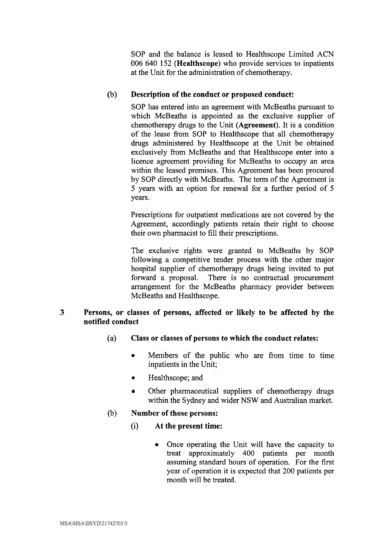SOP and the balance is leased to Healthscope Limited ACN 006 640 152 **(Healthscope)** who provide services to inpatients at the Unit for the administration of chemotherapy.

# (b) **Description of the conduct or proposed conduct:**

SOP has entered into an agreement with McBeaths pursuant to which McBeaths is appointed as the exclusive supplier of chemotherapy drugs to the Unit **(Agreement).** It is a condition of the lease from SOP to Healthscope that all chemotherapy drugs administered by Healthscope at the Unit be obtained exclusively from McBeaths and that Healthscope enter into a licence agreement providing for McBeaths to occupy an area within the leased premises. This Agreement has been procured by SOP directly with McBeaths. The term of the Agreement is 5 years with an option for renewal for a further period of 5 years.

Prescriptions for outpatient medications are not covered by the Agreement, accordingly patients retain their right to choose their own pharmacist to fill their prescriptions.

The exclusive rights were granted to McBeaths by SOP following a competitive tender process with the other major hospital supplier of chemotherapy drugs being invited to put forward a proposal. There is no contractual procurement arrangement for the McBeaths pharmacy provider between McBeaths and Healthscope.

## **3 Persons, or classes of persons, affected or likely to be affected by the notified conduct**

- (a) **Class or classes of persons to which the conduct relates:** 
	- Members of the public who are from time to time  $\bullet$ inpatients in the Unit;
	- Healthscope; and
	- Other pharmaceutical suppliers of chemotherapy drugs  $\bullet$ within the Sydney and wider NSW and Australian market.
- (b) **Number of those persons:** 
	- (i) **At the present time:** 
		- Once operating the Unit will have the capacity to treat approximately 400 patients per month assuming standard hours of operation. For the first year of operation it is expected that 200 patients per month will be treated.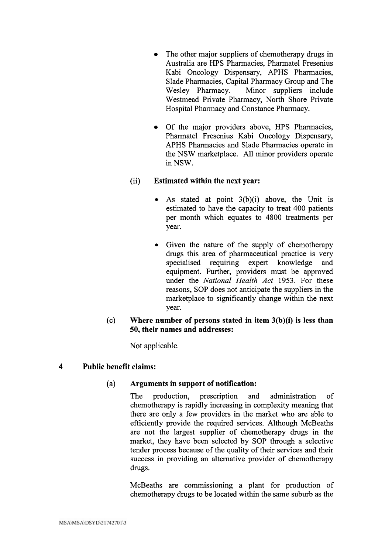- The other major suppliers of chemotherapy drugs in  $\bullet$ Australia are HPS Pharmacies, Pharmatel Fresenius Kabi Oncology Dispensary, APHS Pharmacies, Slade Pharmacies, Capital Pharmacy Group and The<br>Wesley Pharmacy. Minor suppliers include Minor suppliers include Westmead Private Pharmacy, North Shore Private Hospital Pharmacy and Constance Pharmacy.
- Of the major providers above, HPS Pharmacies, Pharmatel Fresenius Kabi Oncology Dispensary, APHS Pharmacies and Slade Pharmacies operate in the NSW marketplace. All minor providers operate in NSW.

# (ii) **Estimated within the next year:**

- As stated at point  $3(b)(i)$  above, the Unit is estimated to have the capacity to treat 400 patients per month which equates to 4800 treatments per year.
- Given the nature of the supply of chemotherapy drugs this area of pharmaceutical practice is very specialised requiring expert knowledge and equipment. Further, providers must be approved under the *National Health Act 1953.* For these reasons, SOP does not anticipate the suppliers in the marketplace to significantly change within the next year.
- (c) **Where number of persons stated in item 3(b)(i) is less than 50, their names and addresses:**

Not applicable.

# **4 Public benefit claims:**

# (a) **Arguments in support of notification:**

The production, prescription and administration of chemotherapy is rapidly increasing in complexity meaning that there are only a few providers in the market who are able to efficiently provide the required services. Although McBeaths are not the largest supplier of chemotherapy drugs in the market, they have been selected by SOP through a selective tender process because of the quality of their services and their success in providing an alternative provider of chemotherapy drugs.

McBeaths are commissioning a plant for production of chemotherapy drugs to be located within the same suburb as the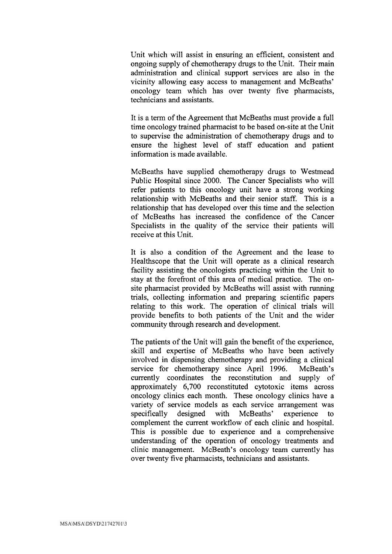Unit which will assist in ensuring an efficient, consistent and ongoing supply of chemotherapy drugs to the Unit. Their main administration and clinical support services are also in the vicinity allowing easy access to management and McBeaths' oncology team which has over twenty five pharmacists, technicians and assistants.

It is a term of the Agreement that McBeaths must provide a full time oncology trained pharmacist to be based on-site at the Unit to supervise the administration of chemotherapy drugs and to ensure the highest level of staff education and patient information is made available.

McBeaths have supplied chemotherapy drugs to Westmead Public Hospital since 2000. The Cancer Specialists who will refer patients to this oncology unit have a strong working relationship with McBeaths and their senior staff. This is a relationship that has developed over this time and the selection of McBeaths has increased the confidence of the Cancer Specialists in the quality of the service their patients will receive at this Unit.

It is also a condition of the Agreement and the lease to Healthscope that the Unit will operate as a clinical research facility assisting the oncologists practicing within the Unit to stay at the forefront of this area of medical practice. The onsite pharmacist provided by McBeaths will assist with running trials, collecting information and preparing scientific papers relating to this work. The operation of clinical trials will provide benefits to both patients of the Unit and the wider community through research and development.

The patients of the Unit will gain the benefit of the experience, skill and expertise of McBeaths who have been actively involved in dispensing chemotherapy and providing a clinical service for chemotherapy since April 1996. McBeath's currently coordinates the reconstitution and supply of approximately 6,700 reconstituted cytotoxic items across oncology clinics each month. These oncology clinics have a variety of service models as each service arrangement was specifically designed with McBeaths' experience to complement the current workflow of each clinic and hospital. This is possible due to experience and a comprehensive understanding of the operation of oncology treatments and clinic management. McBeath's oncology team currently has over twenty five pharmacists, technicians and assistants.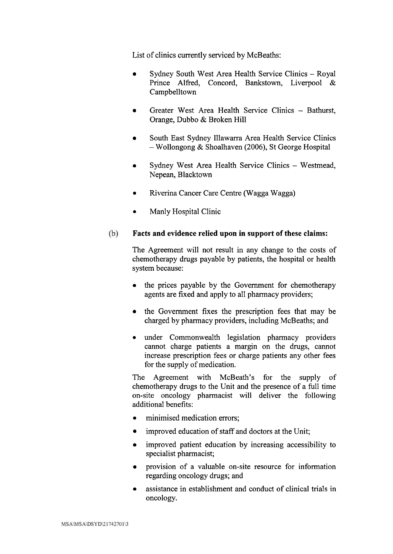List of clinics currently serviced by McBeaths:

- Sydney South West Area Health Service Clinics Royal Prince Alfred, Concord, Bankstown, Liverpool & Campbelltown
- Greater West Area Health Service Clinics Bathurst,  $\bullet$ Orange, Dubbo & Broken Hill
- South East Sydney Illawarra Area Health Service Clinics - Wollongong & Shoalhaven (2006), St George Hospital
- Sydney West Area Health Service Clinics Westmead,  $\bullet$ Nepean, Blacktown
- Riverina Cancer Care Centre (Wagga Wagga)  $\bullet$
- Manly Hospital Clinic  $\bullet$

#### $(b)$ **Facts and evidence relied upon in support of these claims:**

The Agreement will not result in any change to the costs of chemotherapy drugs payable by patients, the hospital or health system because:

- the prices payable by the Government for chemotherapy agents are fixed and apply to all pharmacy providers;
- the Government fixes the prescription fees that may be charged by pharmacy providers, including McBeaths; and
- under Commonwealth legislation pharmacy providers cannot charge patients a margin on the drugs, cannot increase prescription fees or charge patients any other fees for the supply of medication.

The Agreement with McBeath's for the supply of chemotherapy drugs to the Unit and the presence of a full time on-site oncology pharmacist will deliver the following additional benefits:

- minimised medication errors;  $\bullet$
- improved education of staff and doctors at the Unit;  $\bullet$
- improved patient education by increasing accessibility to  $\bullet$ specialist pharmacist;
- provision of a valuable on-site resource for information  $\bullet$ regarding oncology drugs; and
- assistance in establishment and conduct of clinical trials in  $\bullet$ oncology.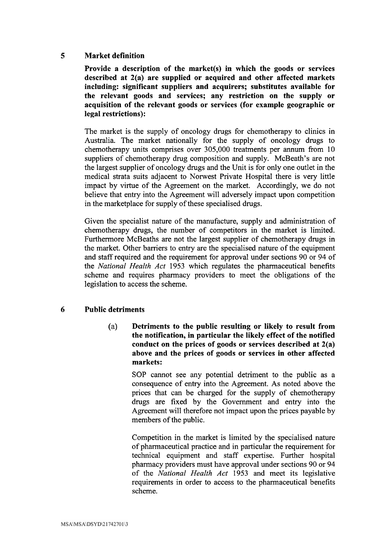# 5 Market definition

Provide a description of the market(s) in which the goods or services described at  $2(a)$  are supplied or acquired and other affected markets including: significant suppliers and acquirers; substitutes available for the relevant goods and services; any restriction on the supply or acquisition of the relevant goods or services (for example geographic or legal restrictions):

The market is the supply of oncology drugs for chemotherapy to clinics in Australia. The market nationally for the supply of oncology drugs to chemotherapy units comprises over 305,000 treatments per annum from 10 suppliers of chemotherapy drug composition and supply. McBeath's are not the largest supplier of oncology drugs and the Unit is for only one outlet in the medical strata suits adjacent to Nonvest Private Hospital there is very little impact by virtue of the Agreement on the market. Accordingly, we do not believe that entry into the Agreement will adversely impact upon competition in the marketplace for supply of these specialised drugs.

Given the specialist nature of the manufacture, supply and administration of chemotherapy drugs, the number of competitors in the market is limited. Furthermore McBeaths are not the largest supplier of chemotherapy drugs in the market. Other barriers to entry are the specialised nature of the equipment and staff required and the requirement for approval under sections 90 or 94 of the *National Health Act* 1953 which regulates the pharmaceutical benefits scheme and requires pharmacy providers to meet the obligations of the legislation to access the scheme.

# 6 Public detriments

(a) Detriments to the public resulting or likely to result from the notification, in particular the likely effect of the notified conduct on the prices of goods or services described at 2(a) above and the prices of goods or services in other affected markets:

> SOP cannot see any potential detriment to the public as a consequence of entry into the Agreement. As noted above the prices that can be charged for the supply of chemotherapy drugs are fixed by the Government and entry into the Agreement will therefore not impact upon the prices payable by members of the public.

> Competition in the market is limited by the specialised nature of pharmaceutical practice and in particular the requirement for technical equipment and staff expertise. Further hospital pharmacy providers must have approval under sections 90 or 94 of the *National Health Act* 1953 and meet its legislative requirements in order to access to the pharmaceutical benefits scheme.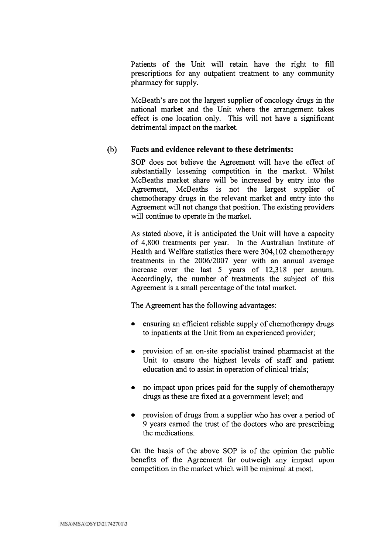Patients of the Unit will retain have the right to fill prescriptions for any outpatient treatment to any community pharmacy for supply.

McBeath's are not the largest supplier of oncology drugs in the national market and the Unit where the arrangement takes effect is one location only. This will not have a significant detrimental impact on the market.

### (b) **Facts and evidence relevant to these detriments:**

SOP does not believe the Agreement will have the effect of substantially lessening competition in the market. Whilst McBeaths market share will be increased by entry into the Agreement, McBeaths is not the largest supplier of chemotherapy drugs in the relevant market and entry into the Agreement will not change that position. The existing providers will continue to operate in the market.

As stated above, it is anticipated the Unit will have a capacity of 4,800 treatments per year. In the Australian Institute of Health and Welfare statistics there were 304,102 chemotherapy treatments in the 2006/2007 year with an annual average increase over the last 5 years of 12,318 per annum. Accordingly, the number of treatments the subject of this Agreement is a small percentage of the total market.

The Agreement has the following advantages:

- ensuring an efficient reliable supply of chemotherapy drugs to inpatients at the Unit from an experienced provider;
- provision of an on-site specialist trained pharmacist at the Unit to ensure the highest levels of staff and patient education and to assist in operation of clinical trials;
- no impact upon prices paid for the supply of chemotherapy drugs as these are fixed at a government level; and
- provision of drugs from a supplier who has over a period of 9 years earned the trust of the doctors who are prescribing the medications.

On the basis of the above SOP is of the opinion the public benefits of the Agreement far outweigh any impact upon competition in the market which will be minimal at most.